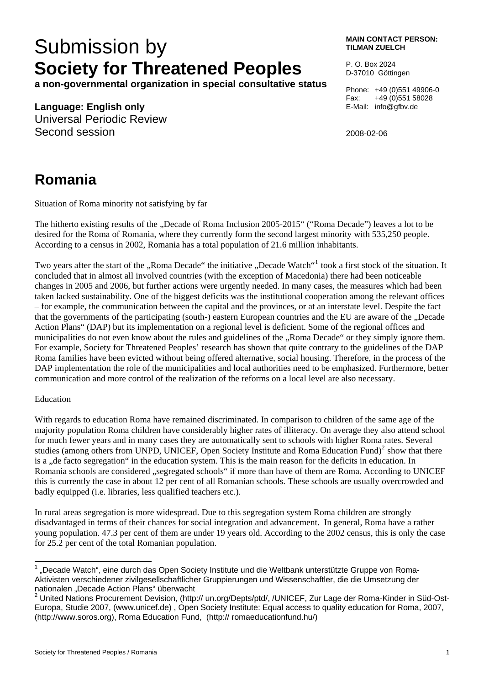# Submission by **MAIN CONTACT PERSON: Society for Threatened Peoples**

**a non-governmental organization in special consultative status** 

**Language: English only** 

Universal Periodic Review Second session

**TILMAN ZUELCH** 

P. O. Box 2024 D-37010 Göttingen

Phone: +49 (0)551 49906-0 Fax: +49 (0)551 58028 E-Mail: info@gfbv.de

2008-02-06

## **Romania**

Situation of Roma minority not satisfying by far

The hitherto existing results of the "Decade of Roma Inclusion 2005-2015" ("Roma Decade") leaves a lot to be desired for the Roma of Romania, where they currently form the second largest minority with 535,250 people. According to a census in 2002, Romania has a total population of 21.6 million inhabitants.

Two years after the start of the "Roma Decade" the initiative "Decade Watch"<sup>[1](#page-0-0)</sup> took a first stock of the situation. It concluded that in almost all involved countries (with the exception of Macedonia) there had been noticeable changes in 2005 and 2006, but further actions were urgently needed. In many cases, the measures which had been taken lacked sustainability. One of the biggest deficits was the institutional cooperation among the relevant offices – for example, the communication between the capital and the provinces, or at an interstate level. Despite the fact that the governments of the participating (south-) eastern European countries and the EU are aware of the ..Decade Action Plans" (DAP) but its implementation on a regional level is deficient. Some of the regional offices and municipalities do not even know about the rules and guidelines of the "Roma Decade" or they simply ignore them. For example, Society for Threatened Peoples' research has shown that quite contrary to the guidelines of the DAP Roma families have been evicted without being offered alternative, social housing. Therefore, in the process of the DAP implementation the role of the municipalities and local authorities need to be emphasized. Furthermore, better communication and more control of the realization of the reforms on a local level are also necessary.

#### Education

With regards to education Roma have remained discriminated. In comparison to children of the same age of the majority population Roma children have considerably higher rates of illiteracy. On average they also attend school for much fewer years and in many cases they are automatically sent to schools with higher Roma rates. Several studies (among others from UNPD, UNICEF, Open Society Institute and Roma Education Fund) $2$  show that there is a "de facto segregation" in the education system. This is the main reason for the deficits in education. In Romania schools are considered "segregated schools" if more than have of them are Roma. According to UNICEF this is currently the case in about 12 per cent of all Romanian schools. These schools are usually overcrowded and badly equipped (i.e. libraries, less qualified teachers etc.).

In rural areas segregation is more widespread. Due to this segregation system Roma children are strongly disadvantaged in terms of their chances for social integration and advancement. In general, Roma have a rather young population. 47.3 per cent of them are under 19 years old. According to the 2002 census, this is only the case for 25.2 per cent of the total Romanian population.

<span id="page-0-0"></span>l  $1$  "Decade Watch", eine durch das Open Society Institute und die Weltbank unterstützte Gruppe von Roma-Aktivisten verschiedener zivilgesellschaftlicher Gruppierungen und Wissenschaftler, die die Umsetzung der nationalen "Decade Action Plans" überwacht

<span id="page-0-1"></span><sup>&</sup>lt;sup>2</sup> United Nations Procurement Devision, (http:// un.org/Depts/ptd/, /UNICEF, Zur Lage der Roma-Kinder in Süd-Ost-Europa, Studie 2007, (www.unicef.de) , Open Society Institute: Equal access to quality education for Roma, 2007, (http://www.soros.org), Roma Education Fund, (http:// romaeducationfund.hu/)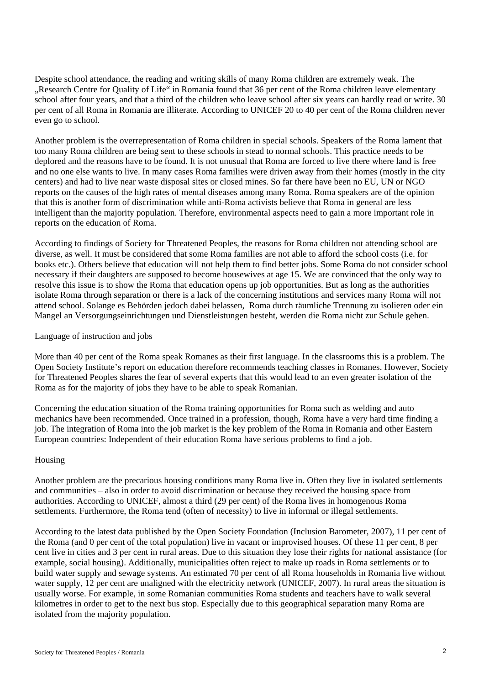Despite school attendance, the reading and writing skills of many Roma children are extremely weak. The "Research Centre for Quality of Life" in Romania found that 36 per cent of the Roma children leave elementary school after four years, and that a third of the children who leave school after six years can hardly read or write. 30 per cent of all Roma in Romania are illiterate. According to UNICEF 20 to 40 per cent of the Roma children never even go to school.

Another problem is the overrepresentation of Roma children in special schools. Speakers of the Roma lament that too many Roma children are being sent to these schools in stead to normal schools. This practice needs to be deplored and the reasons have to be found. It is not unusual that Roma are forced to live there where land is free and no one else wants to live. In many cases Roma families were driven away from their homes (mostly in the city centers) and had to live near waste disposal sites or closed mines. So far there have been no EU, UN or NGO reports on the causes of the high rates of mental diseases among many Roma. Roma speakers are of the opinion that this is another form of discrimination while anti-Roma activists believe that Roma in general are less intelligent than the majority population. Therefore, environmental aspects need to gain a more important role in reports on the education of Roma.

According to findings of Society for Threatened Peoples, the reasons for Roma children not attending school are diverse, as well. It must be considered that some Roma families are not able to afford the school costs (i.e. for books etc.). Others believe that education will not help them to find better jobs. Some Roma do not consider school necessary if their daughters are supposed to become housewives at age 15. We are convinced that the only way to resolve this issue is to show the Roma that education opens up job opportunities. But as long as the authorities isolate Roma through separation or there is a lack of the concerning institutions and services many Roma will not attend school. Solange es Behörden jedoch dabei belassen, Roma durch räumliche Trennung zu isolieren oder ein Mangel an Versorgungseinrichtungen und Dienstleistungen besteht, werden die Roma nicht zur Schule gehen.

#### Language of instruction and jobs

More than 40 per cent of the Roma speak Romanes as their first language. In the classrooms this is a problem. The Open Society Institute's report on education therefore recommends teaching classes in Romanes. However, Society for Threatened Peoples shares the fear of several experts that this would lead to an even greater isolation of the Roma as for the majority of jobs they have to be able to speak Romanian.

Concerning the education situation of the Roma training opportunities for Roma such as welding and auto mechanics have been recommended. Once trained in a profession, though, Roma have a very hard time finding a job. The integration of Roma into the job market is the key problem of the Roma in Romania and other Eastern European countries: Independent of their education Roma have serious problems to find a job.

#### Housing

Another problem are the precarious housing conditions many Roma live in. Often they live in isolated settlements and communities – also in order to avoid discrimination or because they received the housing space from authorities. According to UNICEF, almost a third (29 per cent) of the Roma lives in homogenous Roma settlements. Furthermore, the Roma tend (often of necessity) to live in informal or illegal settlements.

According to the latest data published by the Open Society Foundation (Inclusion Barometer, 2007), 11 per cent of the Roma (and 0 per cent of the total population) live in vacant or improvised houses. Of these 11 per cent, 8 per cent live in cities and 3 per cent in rural areas. Due to this situation they lose their rights for national assistance (for example, social housing). Additionally, municipalities often reject to make up roads in Roma settlements or to build water supply and sewage systems. An estimated 70 per cent of all Roma households in Romania live without water supply, 12 per cent are unaligned with the electricity network (UNICEF, 2007). In rural areas the situation is usually worse. For example, in some Romanian communities Roma students and teachers have to walk several kilometres in order to get to the next bus stop. Especially due to this geographical separation many Roma are isolated from the majority population.